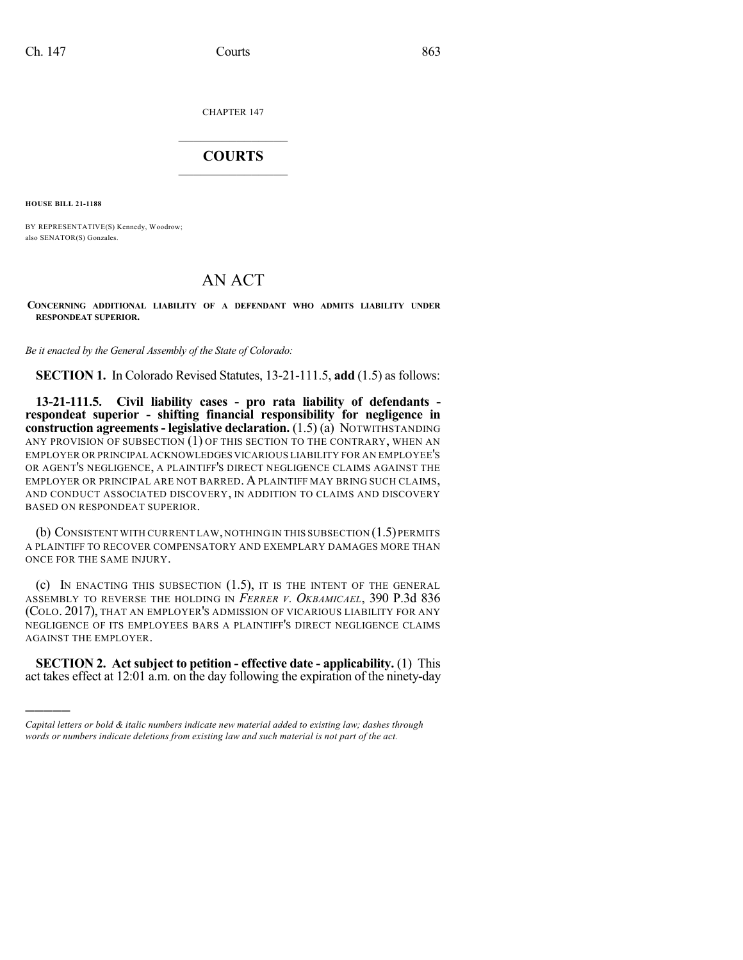CHAPTER 147

## $\overline{\phantom{a}}$  . The set of the set of the set of the set of the set of the set of the set of the set of the set of the set of the set of the set of the set of the set of the set of the set of the set of the set of the set o **COURTS**  $\_$   $\_$   $\_$   $\_$   $\_$   $\_$   $\_$   $\_$

**HOUSE BILL 21-1188**

)))))

BY REPRESENTATIVE(S) Kennedy, Woodrow; also SENATOR(S) Gonzales.

## AN ACT

**CONCERNING ADDITIONAL LIABILITY OF A DEFENDANT WHO ADMITS LIABILITY UNDER RESPONDEAT SUPERIOR.**

*Be it enacted by the General Assembly of the State of Colorado:*

**SECTION 1.** In Colorado Revised Statutes, 13-21-111.5, **add** (1.5) as follows:

**13-21-111.5. Civil liability cases - pro rata liability of defendants respondeat superior - shifting financial responsibility for negligence in construction agreements- legislative declaration.** (1.5) (a) NOTWITHSTANDING ANY PROVISION OF SUBSECTION (1) OF THIS SECTION TO THE CONTRARY, WHEN AN EMPLOYER OR PRINCIPAL ACKNOWLEDGES VICARIOUS LIABILITY FOR AN EMPLOYEE'S OR AGENT'S NEGLIGENCE, A PLAINTIFF'S DIRECT NEGLIGENCE CLAIMS AGAINST THE EMPLOYER OR PRINCIPAL ARE NOT BARRED. A PLAINTIFF MAY BRING SUCH CLAIMS, AND CONDUCT ASSOCIATED DISCOVERY, IN ADDITION TO CLAIMS AND DISCOVERY BASED ON RESPONDEAT SUPERIOR.

(b) CONSISTENT WITH CURRENT LAW, NOTHING IN THIS SUBSECTION  $(1.5)$  PERMITS A PLAINTIFF TO RECOVER COMPENSATORY AND EXEMPLARY DAMAGES MORE THAN ONCE FOR THE SAME INJURY.

(c) IN ENACTING THIS SUBSECTION  $(1.5)$ , it is the intent of the general ASSEMBLY TO REVERSE THE HOLDING IN *FERRER V. OKBAMICAEL*, 390 P.3d 836 (COLO. 2017), THAT AN EMPLOYER'S ADMISSION OF VICARIOUS LIABILITY FOR ANY NEGLIGENCE OF ITS EMPLOYEES BARS A PLAINTIFF'S DIRECT NEGLIGENCE CLAIMS AGAINST THE EMPLOYER.

**SECTION 2. Act subject to petition - effective date - applicability.** (1) This act takes effect at 12:01 a.m. on the day following the expiration of the ninety-day

*Capital letters or bold & italic numbers indicate new material added to existing law; dashes through words or numbers indicate deletions from existing law and such material is not part of the act.*